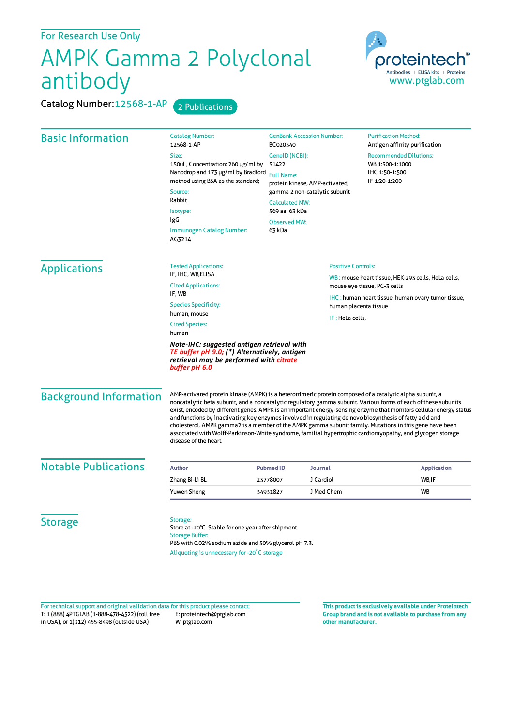## AMPK Gamma 2 Polyclonal antibody

Catalog Number: 12568-1-AP 2 Publications



| <b>Basic Information</b>      | <b>Catalog Number:</b><br>12568-1-AP                                                                                                                                                                                                                                                                                                                    | <b>GenBank Accession Number:</b><br>BC020540<br>GeneID (NCBI):<br>51422<br><b>Full Name:</b><br>protein kinase, AMP-activated,<br>gamma 2 non-catalytic subunit<br><b>Calculated MW:</b> |                       | <b>Purification Method:</b><br>Antigen affinity purification<br><b>Recommended Dilutions:</b><br>WB 1:500-1:1000<br>IHC 1:50-1:500<br>IF 1:20-1:200                                                                                                                                                                                                 |
|-------------------------------|---------------------------------------------------------------------------------------------------------------------------------------------------------------------------------------------------------------------------------------------------------------------------------------------------------------------------------------------------------|------------------------------------------------------------------------------------------------------------------------------------------------------------------------------------------|-----------------------|-----------------------------------------------------------------------------------------------------------------------------------------------------------------------------------------------------------------------------------------------------------------------------------------------------------------------------------------------------|
|                               | Size:                                                                                                                                                                                                                                                                                                                                                   |                                                                                                                                                                                          |                       |                                                                                                                                                                                                                                                                                                                                                     |
|                               | 150ul, Concentration: 260 µg/ml by                                                                                                                                                                                                                                                                                                                      |                                                                                                                                                                                          |                       |                                                                                                                                                                                                                                                                                                                                                     |
|                               | Nanodrop and 173 µg/ml by Bradford<br>method using BSA as the standard;                                                                                                                                                                                                                                                                                 |                                                                                                                                                                                          |                       |                                                                                                                                                                                                                                                                                                                                                     |
|                               | Source:                                                                                                                                                                                                                                                                                                                                                 |                                                                                                                                                                                          |                       |                                                                                                                                                                                                                                                                                                                                                     |
|                               | Rabbit                                                                                                                                                                                                                                                                                                                                                  |                                                                                                                                                                                          |                       |                                                                                                                                                                                                                                                                                                                                                     |
|                               | Isotype:<br>IgG<br>Immunogen Catalog Number:<br>AG3214                                                                                                                                                                                                                                                                                                  | 569 aa, 63 kDa                                                                                                                                                                           |                       |                                                                                                                                                                                                                                                                                                                                                     |
|                               |                                                                                                                                                                                                                                                                                                                                                         | <b>Observed MW:</b>                                                                                                                                                                      |                       |                                                                                                                                                                                                                                                                                                                                                     |
|                               |                                                                                                                                                                                                                                                                                                                                                         | 63 kDa                                                                                                                                                                                   |                       |                                                                                                                                                                                                                                                                                                                                                     |
| <b>Applications</b>           | <b>Tested Applications:</b>                                                                                                                                                                                                                                                                                                                             | <b>Positive Controls:</b>                                                                                                                                                                |                       |                                                                                                                                                                                                                                                                                                                                                     |
|                               | IF, IHC, WB, ELISA<br><b>Cited Applications:</b>                                                                                                                                                                                                                                                                                                        |                                                                                                                                                                                          |                       | WB: mouse heart tissue, HEK-293 cells, HeLa cells,<br>mouse eye tissue, PC-3 cells                                                                                                                                                                                                                                                                  |
|                               | IF, WB<br><b>Species Specificity:</b>                                                                                                                                                                                                                                                                                                                   |                                                                                                                                                                                          | human placenta tissue | <b>IHC</b> : human heart tissue, human ovary tumor tissue,                                                                                                                                                                                                                                                                                          |
|                               | human, mouse                                                                                                                                                                                                                                                                                                                                            |                                                                                                                                                                                          | IF: HeLa cells,       |                                                                                                                                                                                                                                                                                                                                                     |
|                               | <b>Cited Species:</b><br>human                                                                                                                                                                                                                                                                                                                          |                                                                                                                                                                                          |                       |                                                                                                                                                                                                                                                                                                                                                     |
|                               | Note-IHC: suggested antigen retrieval with<br>TE buffer pH 9.0; (*) Alternatively, antigen<br>retrieval may be performed with citrate<br>buffer pH 6.0                                                                                                                                                                                                  |                                                                                                                                                                                          |                       |                                                                                                                                                                                                                                                                                                                                                     |
| <b>Background Information</b> | AMP-activated protein kinase (AMPK) is a heterotrimeric protein composed of a catalytic alpha subunit, a<br>and functions by inactivating key enzymes involved in regulating de novo biosynthesis of fatty acid and<br>cholesterol. AMPK gamma2 is a member of the AMPK gamma subunit family. Mutations in this gene have been<br>disease of the heart. |                                                                                                                                                                                          |                       | noncatalytic beta subunit, and a noncatalytic regulatory gamma subunit. Various forms of each of these subunits<br>exist, encoded by different genes. AMPK is an important energy-sensing enzyme that monitors cellular energy status<br>associated with Wolff-Parkinson-White syndrome, familial hypertrophic cardiomyopathy, and glycogen storage |
| <b>Notable Publications</b>   | <b>Author</b>                                                                                                                                                                                                                                                                                                                                           | <b>Pubmed ID</b><br><b>Journal</b>                                                                                                                                                       |                       | <b>Application</b>                                                                                                                                                                                                                                                                                                                                  |
|                               | Zhang Bi-Li BL                                                                                                                                                                                                                                                                                                                                          | J Cardiol<br>23778007                                                                                                                                                                    |                       | WB,IF                                                                                                                                                                                                                                                                                                                                               |
|                               | <b>Yuwen Sheng</b>                                                                                                                                                                                                                                                                                                                                      | 34931827                                                                                                                                                                                 | J Med Chem            | <b>WB</b>                                                                                                                                                                                                                                                                                                                                           |
| <b>Storage</b>                | Storage:<br>Store at -20°C. Stable for one year after shipment.<br><b>Storage Buffer:</b><br>PBS with 0.02% sodium azide and 50% glycerol pH 7.3.<br>Aliquoting is unnecessary for -20°C storage                                                                                                                                                        |                                                                                                                                                                                          |                       |                                                                                                                                                                                                                                                                                                                                                     |

T: 1 (888) 4PTGLAB (1-888-478-4522) (toll free in USA), or 1(312) 455-8498 (outside USA) E: proteintech@ptglab.com W: ptglab.com Fortechnical support and original validation data forthis product please contact: **This productis exclusively available under Proteintech**

**Group brand and is not available to purchase from any other manufacturer.**